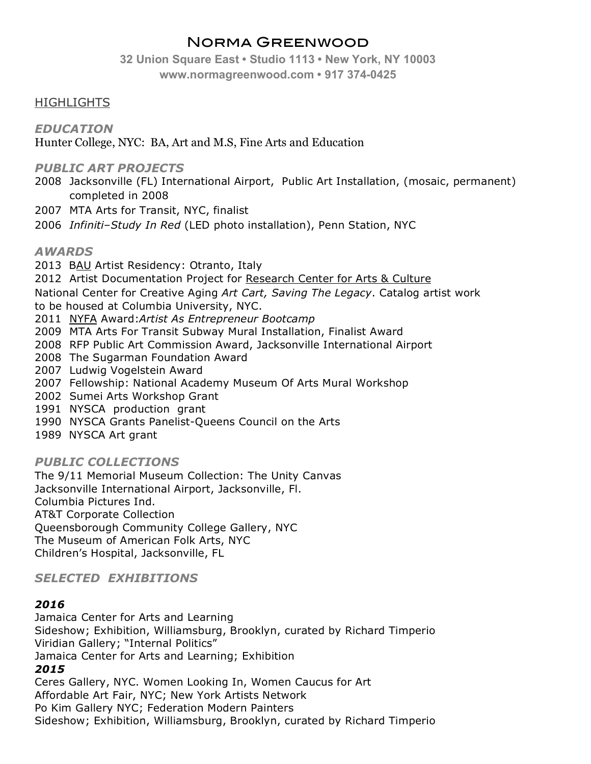# Norma Greenwood

**32 Union Square East • Studio 1113 • New York, NY 10003 www.normagreenwood.com • 917 374-0425**

### **HIGHLIGHTS**

*EDUCATION*

Hunter College, NYC: BA, Art and M.S, Fine Arts and Education

#### *PUBLIC ART PROJECTS*

- 2008 Jacksonville (FL) International Airport, Public Art Installation, (mosaic, permanent) completed in 2008
- 2007 MTA Arts for Transit, NYC, finalist
- 2006 *Infiniti–Study In Red* (LED photo installation), Penn Station, NYC

#### *AWARDS*

- 2013 BAU Artist Residency: Otranto, Italy
- 2012 Artist Documentation Project for Research Center for Arts & Culture
- National Center for Creative Aging *Art Cart, Saving The Legacy*. Catalog artist work to be housed at Columbia University, NYC.
- 2011 NYFA Award:*Artist As Entrepreneur Bootcamp*
- 2009 MTA Arts For Transit Subway Mural Installation, Finalist Award
- 2008 RFP Public Art Commission Award, Jacksonville International Airport
- 2008 The Sugarman Foundation Award
- 2007 Ludwig Vogelstein Award
- 2007 Fellowship: National Academy Museum Of Arts Mural Workshop
- 2002 Sumei Arts Workshop Grant
- 1991 NYSCA production grant
- 1990 NYSCA Grants Panelist-Queens Council on the Arts
- 1989 NYSCA Art grant

#### *PUBLIC COLLECTIONS*

The 9/11 Memorial Museum Collection: The Unity Canvas Jacksonville International Airport, Jacksonville, Fl. Columbia Pictures Ind. AT&T Corporate Collection Queensborough Community College Gallery, NYC The Museum of American Folk Arts, NYC Children's Hospital, Jacksonville, FL

## *SELECTED EXHIBITIONS*

#### *2016*

Jamaica Center for Arts and Learning Sideshow; Exhibition, Williamsburg, Brooklyn, curated by Richard Timperio Viridian Gallery; "Internal Politics" Jamaica Center for Arts and Learning; Exhibition

#### *2015*

Ceres Gallery, NYC. Women Looking In, Women Caucus for Art Affordable Art Fair, NYC; New York Artists Network Po Kim Gallery NYC; Federation Modern Painters Sideshow; Exhibition, Williamsburg, Brooklyn, curated by Richard Timperio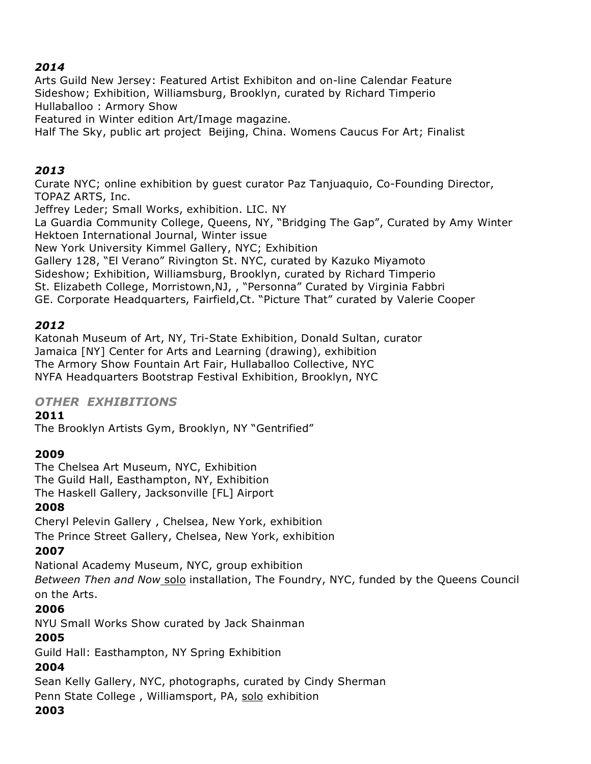### *2014*

Arts Guild New Jersey: Featured Artist Exhibiton and on-line Calendar Feature Sideshow; Exhibition, Williamsburg, Brooklyn, curated by Richard Timperio Hullaballoo : Armory Show

Featured in Winter edition Art/Image magazine*.*

Half The Sky, public art project Beijing, China. Womens Caucus For Art; Finalist

### *2013*

Curate NYC; online exhibition by guest curator Paz Tanjuaquio, Co-Founding Director, TOPAZ ARTS, Inc.

Jeffrey Leder; Small Works, exhibition. LIC. NY

La Guardia Community College, Queens, NY, "Bridging The Gap", Curated by Amy Winter Hektoen International Journal, Winter issue

New York University Kimmel Gallery, NYC; Exhibition

Gallery 128, "El Verano" Rivington St. NYC, curated by Kazuko Miyamoto

Sideshow; Exhibition, Williamsburg, Brooklyn, curated by Richard Timperio

St. Elizabeth College, Morristown,NJ, , "Personna" Curated by Virginia Fabbri

GE. Corporate Headquarters, Fairfield,Ct. "Picture That" curated by Valerie Cooper

## *2012*

Katonah Museum of Art, NY, Tri-State Exhibition, Donald Sultan, curator Jamaica [NY] Center for Arts and Learning (drawing), exhibition The Armory Show Fountain Art Fair, Hullaballoo Collective, NYC NYFA Headquarters Bootstrap Festival Exhibition, Brooklyn, NYC

## *OTHER EXHIBITIONS*

#### **2011**

The Brooklyn Artists Gym, Brooklyn, NY "Gentrified"

#### **2009**

The Chelsea Art Museum, NYC, Exhibition The Guild Hall, Easthampton, NY, Exhibition The Haskell Gallery, Jacksonville [FL] Airport

## **2008**

Cheryl Pelevin Gallery , Chelsea, New York, exhibition The Prince Street Gallery, Chelsea, New York, exhibition

#### **2007**

National Academy Museum, NYC, group exhibition

*Between Then and Now* solo installation, The Foundry, NYC, funded by the Queens Council on the Arts.

## **2006**

NYU Small Works Show curated by Jack Shainman

## **2005**

Guild Hall: Easthampton, NY Spring Exhibition

## **2004**

Sean Kelly Gallery, NYC, photographs, curated by Cindy Sherman Penn State College , Williamsport, PA, solo exhibition

#### **2003**